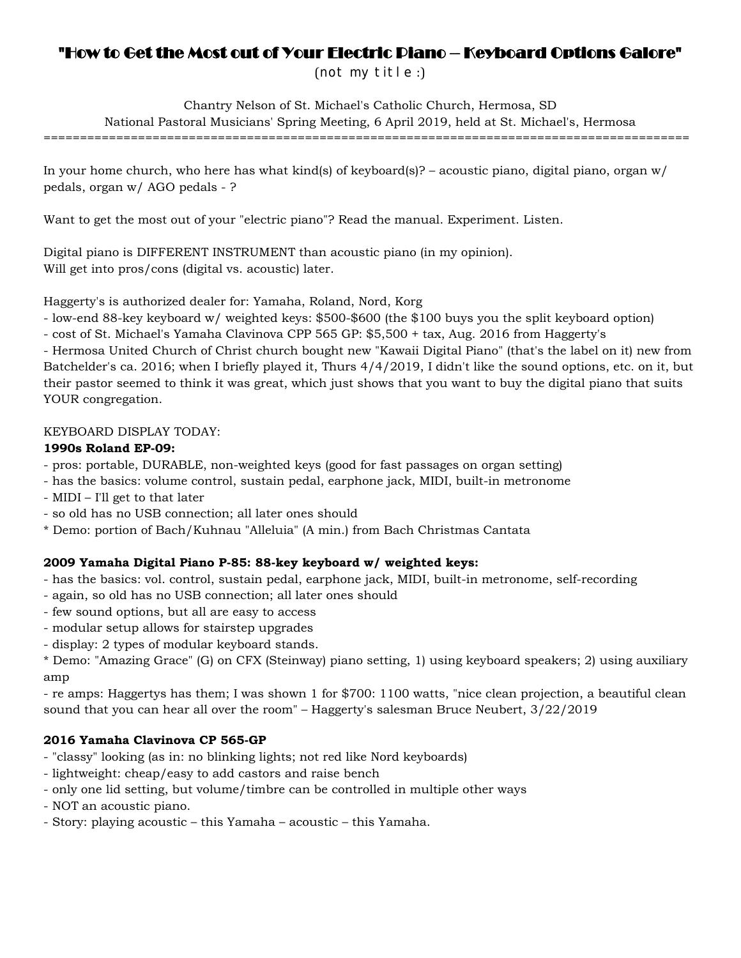# "How to Get the Most out of Your Electric Piano – Keyboard Options Galore"

(not my title :)

Chantry Nelson of St. Michael's Catholic Church, Hermosa, SD National Pastoral Musicians' Spring Meeting, 6 April 2019, held at St. Michael's, Hermosa =========================================================================================

In your home church, who here has what kind(s) of keyboard(s)? – acoustic piano, digital piano, organ  $w/$ pedals, organ w/ AGO pedals - ?

Want to get the most out of your "electric piano"? Read the manual. Experiment. Listen.

Digital piano is DIFFERENT INSTRUMENT than acoustic piano (in my opinion). Will get into pros/cons (digital vs. acoustic) later.

Haggerty's is authorized dealer for: Yamaha, Roland, Nord, Korg

- low-end 88-key keyboard w/ weighted keys: \$500-\$600 (the \$100 buys you the split keyboard option)

- cost of St. Michael's Yamaha Clavinova CPP 565 GP: \$5,500 + tax, Aug. 2016 from Haggerty's

- Hermosa United Church of Christ church bought new "Kawaii Digital Piano" (that's the label on it) new from Batchelder's ca. 2016; when I briefly played it, Thurs 4/4/2019, I didn't like the sound options, etc. on it, but their pastor seemed to think it was great, which just shows that you want to buy the digital piano that suits YOUR congregation.

# KEYBOARD DISPLAY TODAY:

# **1990s Roland EP-09:**

- pros: portable, DURABLE, non-weighted keys (good for fast passages on organ setting)
- has the basics: volume control, sustain pedal, earphone jack, MIDI, built-in metronome
- MIDI I'll get to that later
- so old has no USB connection; all later ones should
- \* Demo: portion of Bach/Kuhnau "Alleluia" (A min.) from Bach Christmas Cantata

# **2009 Yamaha Digital Piano P-85: 88-key keyboard w/ weighted keys:**

- has the basics: vol. control, sustain pedal, earphone jack, MIDI, built-in metronome, self-recording
- again, so old has no USB connection; all later ones should
- few sound options, but all are easy to access
- modular setup allows for stairstep upgrades
- display: 2 types of modular keyboard stands.

\* Demo: "Amazing Grace" (G) on CFX (Steinway) piano setting, 1) using keyboard speakers; 2) using auxiliary amp

- re amps: Haggertys has them; I was shown 1 for \$700: 1100 watts, "nice clean projection, a beautiful clean sound that you can hear all over the room" – Haggerty's salesman Bruce Neubert, 3/22/2019

# **2016 Yamaha Clavinova CP 565-GP**

- "classy" looking (as in: no blinking lights; not red like Nord keyboards)
- lightweight: cheap/easy to add castors and raise bench
- only one lid setting, but volume/timbre can be controlled in multiple other ways
- NOT an acoustic piano.
- Story: playing acoustic this Yamaha acoustic this Yamaha.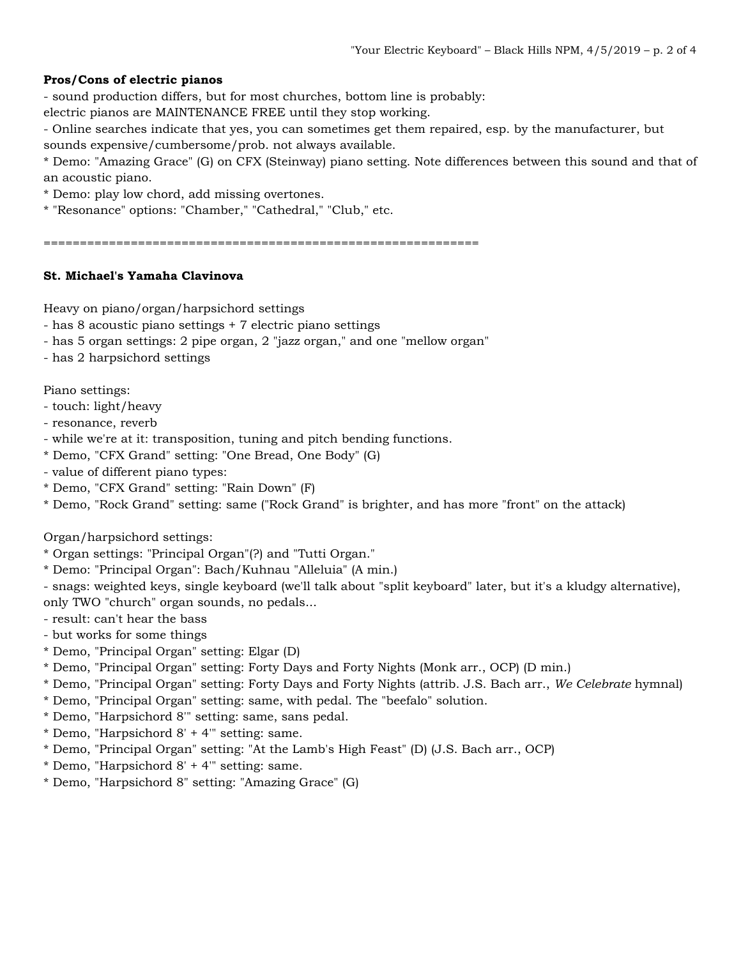## **Pros/Cons of electric pianos**

- sound production differs, but for most churches, bottom line is probably:

electric pianos are MAINTENANCE FREE until they stop working.

- Online searches indicate that yes, you can sometimes get them repaired, esp. by the manufacturer, but sounds expensive/cumbersome/prob. not always available.

\* Demo: "Amazing Grace" (G) on CFX (Steinway) piano setting. Note differences between this sound and that of an acoustic piano.

\* Demo: play low chord, add missing overtones.

\* "Resonance" options: "Chamber," "Cathedral," "Club," etc.

============================================================

## **St. Michael's Yamaha Clavinova**

Heavy on piano/organ/harpsichord settings

- has 8 acoustic piano settings + 7 electric piano settings

- has 5 organ settings: 2 pipe organ, 2 "jazz organ," and one "mellow organ"
- has 2 harpsichord settings

Piano settings:

- touch: light/heavy
- resonance, reverb
- while we're at it: transposition, tuning and pitch bending functions.
- \* Demo, "CFX Grand" setting: "One Bread, One Body" (G)
- value of different piano types:
- \* Demo, "CFX Grand" setting: "Rain Down" (F)
- \* Demo, "Rock Grand" setting: same ("Rock Grand" is brighter, and has more "front" on the attack)

Organ/harpsichord settings:

- \* Organ settings: "Principal Organ"(?) and "Tutti Organ."
- \* Demo: "Principal Organ": Bach/Kuhnau "Alleluia" (A min.)
- snags: weighted keys, single keyboard (we'll talk about "split keyboard" later, but it's a kludgy alternative), only TWO "church" organ sounds, no pedals...
- result: can't hear the bass
- but works for some things
- \* Demo, "Principal Organ" setting: Elgar (D)
- \* Demo, "Principal Organ" setting: Forty Days and Forty Nights (Monk arr., OCP) (D min.)
- \* Demo, "Principal Organ" setting: Forty Days and Forty Nights (attrib. J.S. Bach arr., *We Celebrate* hymnal)
- \* Demo, "Principal Organ" setting: same, with pedal. The "beefalo" solution.
- \* Demo, "Harpsichord 8'" setting: same, sans pedal.
- \* Demo, "Harpsichord 8' + 4'" setting: same.
- \* Demo, "Principal Organ" setting: "At the Lamb's High Feast" (D) (J.S. Bach arr., OCP)
- \* Demo, "Harpsichord 8' + 4'" setting: same.
- \* Demo, "Harpsichord 8" setting: "Amazing Grace" (G)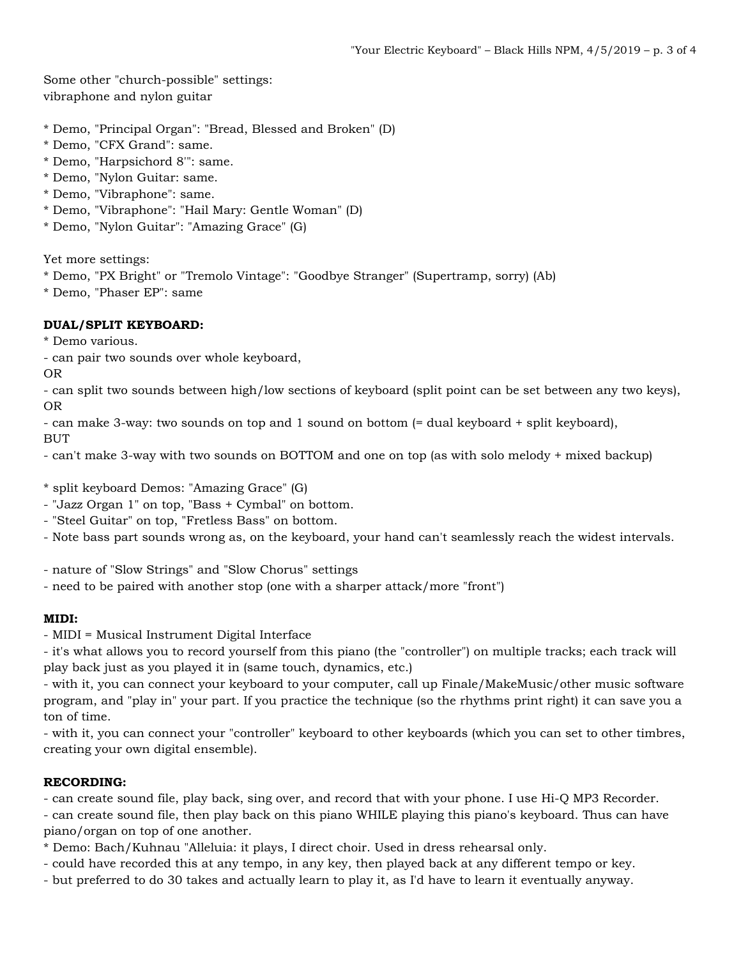Some other "church-possible" settings: vibraphone and nylon guitar

- \* Demo, "Principal Organ": "Bread, Blessed and Broken" (D)
- \* Demo, "CFX Grand": same.
- \* Demo, "Harpsichord 8'": same.
- \* Demo, "Nylon Guitar: same.
- \* Demo, "Vibraphone": same.
- \* Demo, "Vibraphone": "Hail Mary: Gentle Woman" (D)
- \* Demo, "Nylon Guitar": "Amazing Grace" (G)

Yet more settings:

- \* Demo, "PX Bright" or "Tremolo Vintage": "Goodbye Stranger" (Supertramp, sorry) (Ab)
- \* Demo, "Phaser EP": same

### **DUAL/SPLIT KEYBOARD:**

- \* Demo various.
- can pair two sounds over whole keyboard,

OR

- can split two sounds between high/low sections of keyboard (split point can be set between any two keys), OR
- can make 3-way: two sounds on top and 1 sound on bottom (= dual keyboard + split keyboard), BUT
- can't make 3-way with two sounds on BOTTOM and one on top (as with solo melody + mixed backup)
- \* split keyboard Demos: "Amazing Grace" (G)
- "Jazz Organ 1" on top, "Bass + Cymbal" on bottom.
- "Steel Guitar" on top, "Fretless Bass" on bottom.
- Note bass part sounds wrong as, on the keyboard, your hand can't seamlessly reach the widest intervals.
- nature of "Slow Strings" and "Slow Chorus" settings
- need to be paired with another stop (one with a sharper attack/more "front")

#### **MIDI:**

- MIDI = Musical Instrument Digital Interface
- it's what allows you to record yourself from this piano (the "controller") on multiple tracks; each track will play back just as you played it in (same touch, dynamics, etc.)
- with it, you can connect your keyboard to your computer, call up Finale/MakeMusic/other music software program, and "play in" your part. If you practice the technique (so the rhythms print right) it can save you a ton of time.
- with it, you can connect your "controller" keyboard to other keyboards (which you can set to other timbres, creating your own digital ensemble).

#### **RECORDING:**

- can create sound file, play back, sing over, and record that with your phone. I use Hi-Q MP3 Recorder. - can create sound file, then play back on this piano WHILE playing this piano's keyboard. Thus can have piano/organ on top of one another.
- \* Demo: Bach/Kuhnau "Alleluia: it plays, I direct choir. Used in dress rehearsal only.
- could have recorded this at any tempo, in any key, then played back at any different tempo or key.
- but preferred to do 30 takes and actually learn to play it, as I'd have to learn it eventually anyway.